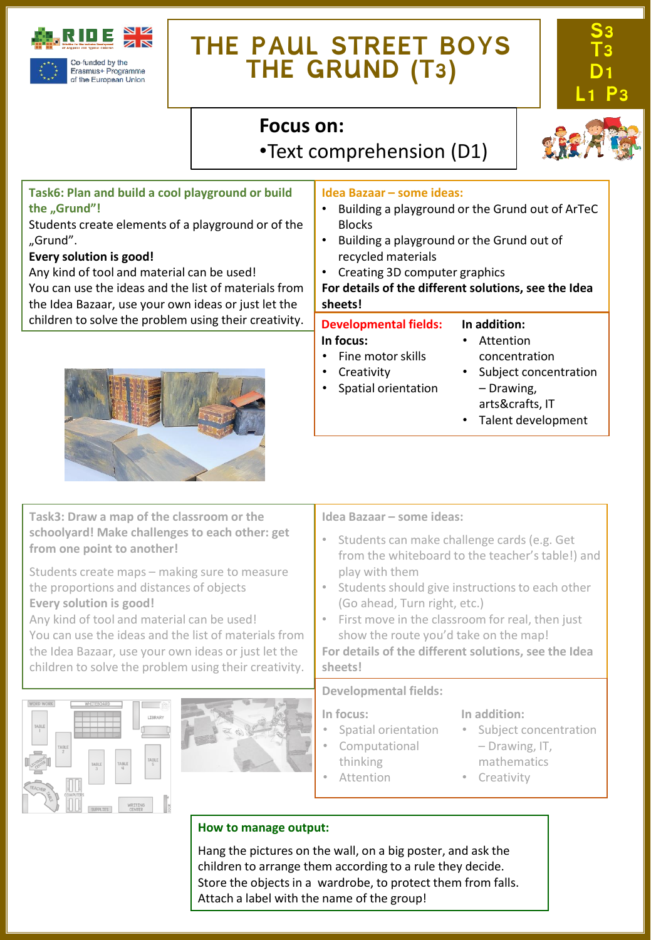

# **THE PAUL STREET BOYS THE GRUND (T3)**



## **Focus on:**

•Text comprehension (D1)

## **Task6: Plan and build a cool playground or build the "Grund"!**

Students create elements of a playground or of the "Grund".

#### **Every solution is good!**

Any kind of tool and material can be used! You can use the ideas and the list of materials from the Idea Bazaar, use your own ideas or just let the children to solve the problem using their creativity.



#### **Idea Bazaar – some ideas:**

- Building a playground or the Grund out of ArTeC Blocks
- Building a playground or the Grund out of recycled materials
- Creating 3D computer graphics
- **For details of the different solutions, see the Idea sheets!**

### **Developmental fields:**

#### • Attention

• Fine motor skills

**In focus:**

concentration

**In addition:**

- **Creativity** • Spatial orientation
- Subject concentration – Drawing, arts&crafts, IT
- Talent development

**Task3: Draw a map of the classroom or the schoolyard! Make challenges to each other: get from one point to another!**

Students create maps – making sure to measure the proportions and distances of objects **Every solution is good!**

Any kind of tool and material can be used! You can use the ideas and the list of materials from the Idea Bazaar, use your own ideas or just let the children to solve the problem using their creativity.





#### **Idea Bazaar – some ideas:**

- Students can make challenge cards (e.g. Get from the whiteboard to the teacher's table!) and play with them
- Students should give instructions to each other (Go ahead, Turn right, etc.)
- First move in the classroom for real, then just show the route you'd take on the map!

**For details of the different solutions, see the Idea sheets!**

#### **Developmental fields:**

**In focus:**

- Spatial orientation
- Computational
- thinking
	- Attention

#### **In addition:**

- Subject concentration – Drawing, IT,
- mathematics
- Creativity

## **How to manage output:**

Hang the pictures on the wall, on a big poster, and ask the children to arrange them according to a rule they decide. Store the objects in a wardrobe, to protect them from falls. Attach a label with the name of the group!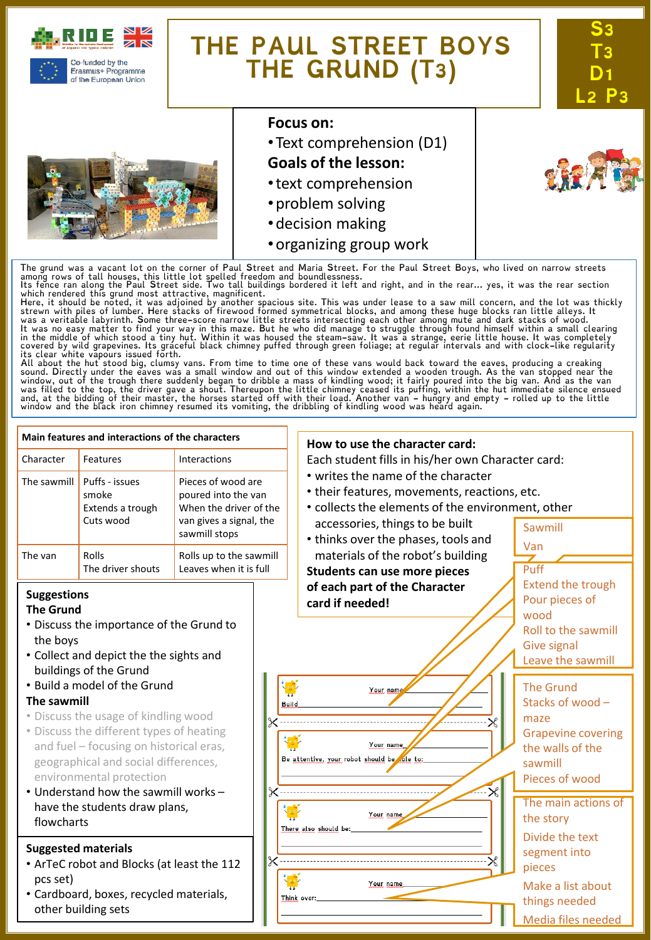

of the European Union

# **THE PAUL STREET BOYS THE GRUND (T3)**





#### **Focus on:**

- •Text comprehension (D1)
- **Goals of the lesson:**
- •text comprehension
- •problem solving
- •decision making
- •organizing group work

The grund was a vacant lot on the corner of Paul Street and Maria Street. For the Paul Street Boys, who lived on narrow streets<br>among rows of tall houses, this little lot spelled freedom and boundlessness.<br>Its fence ran al

which rendered this grund most attractive, magnificent.<br>Here, it should be noted, it was adjoined by another spacious site. This was under lease to a saw mill concern, and the lot was thickly<br>Here, it should be noted, it w

sound. Directly under the eaves was a small window and out of this window extended a wooden trough. As the van stopped near the<br>window, out of the trough there suddenly began to dribble a mass of kindling wood; it fairly p

#### **Main features and interactions of the characters How to use the character card:** Character Features Interactions Each student fills in his/her own Character card: • writes the name of the character The sawmill  $\vert$  Puffs - issues Pieces of wood are • their features, movements, reactions, etc. smoke poured into the van • collects the elements of the environment, other Extends a trough When the driver of the Cuts wood van gives a signal, the accessories, things to be built Sawmill sawmill stops • thinks over the phases, tools and Van materials of the robot's building The van Rolls Rolls up to the sawmill The driver shouts Leaves when it is full Puff **Students can use more pieces** Extend the trough **of each part of the Character Suggestions** Pour pieces of **card if needed! The Grund** wood • Discuss the importance of the Grund to Roll to the sawmill the boys Give signal • Collect and depict the the sights and Leave the sawmill buildings of the Grund • Build a model of the Grund The Grund Your nam **The sawmill** Stacks of wood – **Build** • Discuss the usage of kindling wood maze • Discuss the different types of heating Grapevine covering and fuel – focusing on historical eras, Your name the walls of the Be attentive, your robot should be ole to: geographical and social differences, sawmill environmental protection Pieces of wood • Understand how the sawmill works – The main actions of have the students draw plans, Your name the story flowcharts There also should be: Divide the text **Suggested materials** segment into • ArTeC robot and Blocks (at least the 112 pieces pcs set) Your name Make a list about • Cardboard, boxes, recycled materials, Think over: things needed other building sets Media files needed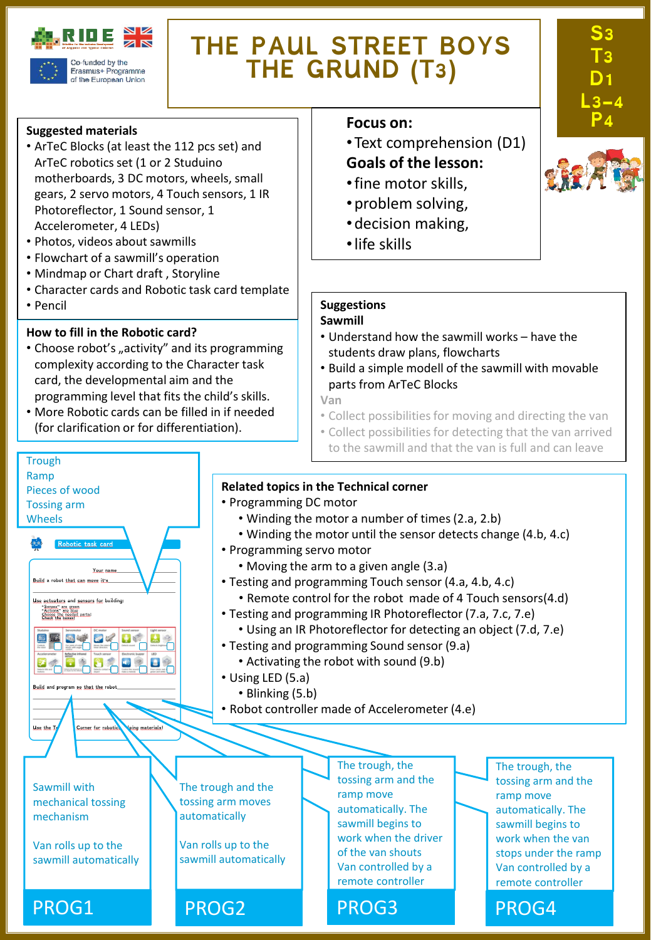

Erasmus+ Programme of the European Union

# **THE PAUL STREET BOYS THE GRUND (T3)**

#### **Suggested materials**

- ArTeC Blocks (at least the 112 pcs set) and ArTeC robotics set (1 or 2 Studuino motherboards, 3 DC motors, wheels, small gears, 2 servo motors, 4 Touch sensors, 1 IR Photoreflector, 1 Sound sensor, 1 Accelerometer, 4 LEDs)
- Photos, videos about sawmills
- Flowchart of a sawmill's operation
- Mindmap or Chart draft , Storyline
- Character cards and Robotic task card template
- Pencil

**Trough** Ramp

Pieces of wood Tossing arm Wheels

Build a robot that can move it's Use actuators and sensors for building "Senses" are green<br>"Actions" are blue<br>Chace the hovest

国王国史区

 $\bullet$ 

Build and program so that the

Use the I

Your ni

 $\mathbf{E}$ 

Corner for robotic

ing materials

#### **How to fill in the Robotic card?**

- Choose robot's "activity" and its programming complexity according to the Character task card, the developmental aim and the programming level that fits the child's skills.
- More Robotic cards can be filled in if needed (for clarification or for differentiation).

#### **Focus** on:

- •Text comprehension (D1) **Goals of the lesson:**
- •fine motor skills,
- •problem solving,
- •decision making,
- •life skills

#### **Suggestions**

#### **Sawmill**

- Understand how the sawmill works have the students draw plans, flowcharts
- Build a simple modell of the sawmill with movable parts from ArTeC Blocks

**Van**

- Collect possibilities for moving and directing the van
- Collect possibilities for detecting that the van arrived to the sawmill and that the van is full and can leave

#### **Related topics in the Technical corner**

- Programming DC motor
	- Winding the motor a number of times(2.a, 2.b)
	- Winding the motor until the sensor detects change (4.b, 4.c)
- Programming servo motor
	- Moving the arm to a given angle (3.a)
- Testing and programming Touch sensor (4.a, 4.b, 4.c)
	- Remote control for the robot made of 4 Touch sensors(4.d)
- Testing and programming IR Photoreflector (7.a, 7.c, 7.e)
	- Using an IR Photoreflector for detecting an object (7.d, 7.e)
- Testing and programming Sound sensor (9.a)
	- Activating the robot with sound (9.b)
- Using LED (5.a)

The trough and the tossing arm moves automatically

Van rolls up to the sawmill automatically

- Blinking (5.b)
- Robot controller made of Accelerometer (4.e)

Sawmill with mechanical tossing mechanism

Van rolls up to the sawmill automatically

PROG1 PROG2 PROG3 PROG4

The trough, the tossing arm and the ramp move automatically. The sawmill begins to work when the driver of the van shouts Van controlled by a remote controller

The trough, the tossing arm and the ramp move automatically. The sawmill begins to work when the van stops under the ramp Van controlled by a remote controller



**S3** 

**T3 D1 L3-4**